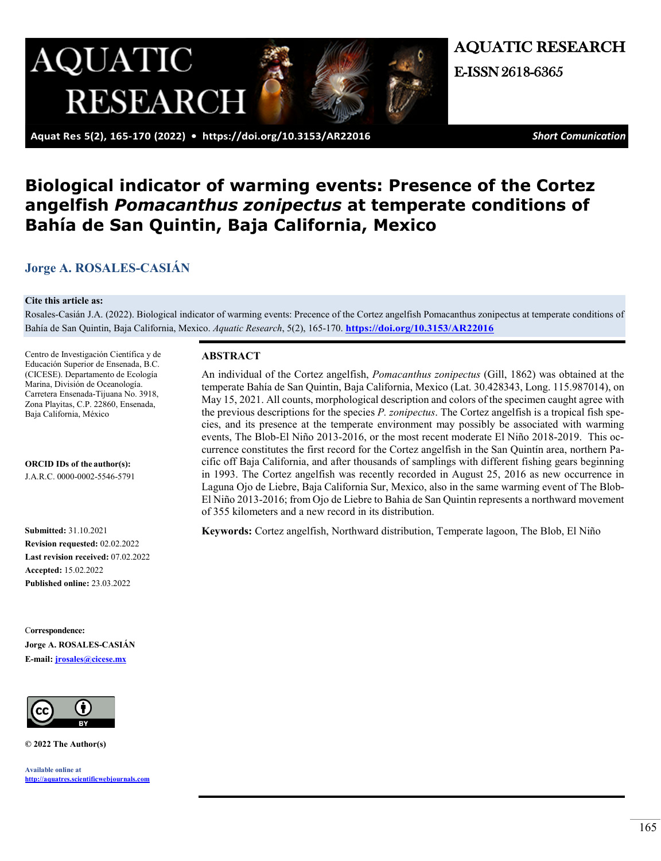

AQUATIC RESEARCH E-ISSN 2618-6365

 **Aquat Res 5(2), 165-170 (2022) • <https://doi.org/10.3153/AR22016>** *Short Comunication*

# **Biological indicator of warming events: Presence of the Cortez angelfish** *Pomacanthus zonipectus* **at temperate conditions of Bahía de San Quintin, Baja California, Mexico**

# **[Jorge A. ROSALES-CASIÁN](https://orcid.org/0000-0002-5546-5791)**

#### **Cite this article as:**

Rosales-Casián J.A. (2022). Biological indicator of warming events: Precence of the Cortez angelfish Pomacanthus zonipectus at temperate conditions of Bahía de San Quintin, Baja California, Mexico. *Aquatic Research*, 5(2), 165-170. **<https://doi.org/10.3153/AR22016>**

Centro de Investigación Científica y de Educación Superior de Ensenada, B.C. (CICESE). Departamento de Ecología Marina, División de Oceanología. Carretera Ensenada-Tijuana No. 3918, Zona Playitas, C.P. 22860, Ensenada, Baja California, México

**ORCID IDs of the author(s):** J.A.R.C. 0000-0002-5546-5791

**Submitted:** 31.10.2021 **Revision requested:** 02.02.2022 **Last revision received:** 07.02.2022 **Accepted:** 15.02.2022 **Published online:** 23.03.2022

C**orrespondence: Jorge A. ROSALES-CASIÁN E-mail: [jrosales@cicese.mx](mailto:jrosales@cicese.mx)**



**© 2022 The Author(s)**

**Available online at [http://aquatres.scientificwebjournals.com](http://aquatres.scientificwebjournals.com/)**

#### **ABSTRACT**

An individual of the Cortez angelfish, *Pomacanthus zonipectus* (Gill, 1862) was obtained at the temperate Bahía de San Quintin, Baja California, Mexico (Lat. 30.428343, Long. 115.987014), on May 15, 2021. All counts, morphological description and colors of the specimen caught agree with the previous descriptions for the species *P. zonipectus*. The Cortez angelfish is a tropical fish species, and its presence at the temperate environment may possibly be associated with warming events, The Blob-El Niño 2013-2016, or the most recent moderate El Niño 2018-2019. This occurrence constitutes the first record for the Cortez angelfish in the San Quintín area, northern Pacific off Baja California, and after thousands of samplings with different fishing gears beginning in 1993. The Cortez angelfish was recently recorded in August 25, 2016 as new occurrence in Laguna Ojo de Liebre, Baja California Sur, Mexico, also in the same warming event of The Blob-El Niño 2013-2016; from Ojo de Liebre to Bahia de San Quintin represents a northward movement of 355 kilometers and a new record in its distribution.

**Keywords:** Cortez angelfish, Northward distribution, Temperate lagoon, The Blob, El Niño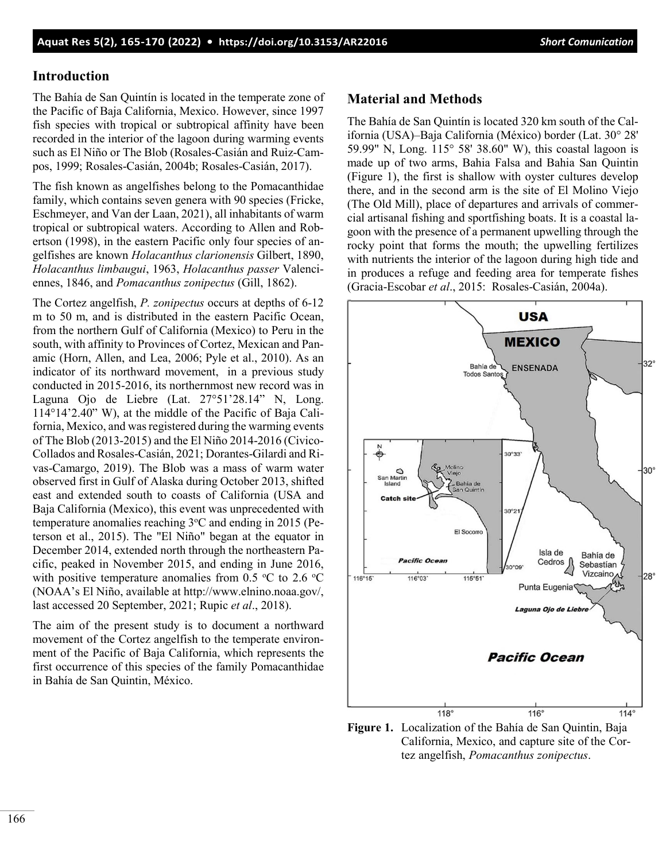#### **Introduction**

The Bahía de San Quintín is located in the temperate zone of the Pacific of Baja California, Mexico. However, since 1997 fish species with tropical or subtropical affinity have been recorded in the interior of the lagoon during warming events such as El Niño or The Blob (Rosales-Casián and Ruiz-Campos, 1999; Rosales-Casián, 2004b; Rosales-Casián, 2017).

The fish known as angelfishes belong to the Pomacanthidae family, which contains seven genera with 90 species (Fricke, Eschmeyer, and Van der Laan, 2021), all inhabitants of warm tropical or subtropical waters. According to Allen and Robertson (1998), in the eastern Pacific only four species of angelfishes are known *Holacanthus clarionensis* Gilbert, 1890, *Holacanthus limbaugui*, 1963, *Holacanthus passer* Valenciennes, 1846, and *Pomacanthus zonipectus* (Gill, 1862).

The Cortez angelfish, *P. zonipectus* occurs at depths of 6-12 m to 50 m, and is distributed in the eastern Pacific Ocean, from the northern Gulf of California (Mexico) to Peru in the south, with affinity to Provinces of Cortez, Mexican and Panamic (Horn, Allen, and Lea, 2006; Pyle et al., 2010). As an indicator of its northward movement, in a previous study conducted in 2015-2016, its northernmost new record was in Laguna Ojo de Liebre (Lat. 27°51'28.14" N, Long. 114°14'2.40" W), at the middle of the Pacific of Baja California, Mexico, and was registered during the warming events of The Blob (2013-2015) and the El Niño 2014-2016 (Civico-Collados and Rosales-Casián, 2021; Dorantes-Gilardi and Rivas-Camargo, 2019). The Blob was a mass of warm water observed first in Gulf of Alaska during October 2013, shifted east and extended south to coasts of California (USA and Baja California (Mexico), this event was unprecedented with temperature anomalies reaching 3°C and ending in 2015 (Peterson et al., 2015). The "El Niño" began at the equator in December 2014, extended north through the northeastern Pacific, peaked in November 2015, and ending in June 2016, with positive temperature anomalies from 0.5  $\,^{\circ}\text{C}$  to 2.6  $\,^{\circ}\text{C}$ (NOAA's El Niño, available at http://www.elnino.noaa.gov/, last accessed 20 September, 2021; Rupic *et al*., 2018).

The aim of the present study is to document a northward movement of the Cortez angelfish to the temperate environment of the Pacific of Baja California, which represents the first occurrence of this species of the family Pomacanthidae in Bahía de San Quintin, México.

#### **Material and Methods**

The Bahía de San Quintín is located 320 km south of the California (USA)–Baja California (México) border (Lat. 30° 28' 59.99" N, Long. 115° 58' 38.60" W), this coastal lagoon is made up of two arms, Bahia Falsa and Bahia San Quintin (Figure 1), the first is shallow with oyster cultures develop there, and in the second arm is the site of El Molino Viejo (The Old Mill), place of departures and arrivals of commercial artisanal fishing and sportfishing boats. It is a coastal lagoon with the presence of a permanent upwelling through the rocky point that forms the mouth; the upwelling fertilizes with nutrients the interior of the lagoon during high tide and in produces a refuge and feeding area for temperate fishes (Gracia-Escobar *et al*., 2015: Rosales-Casián, 2004a).



**Figure 1.** Localization of the Bahía de San Quintin, Baja California, Mexico, and capture site of the Cortez angelfish, *Pomacanthus zonipectus*.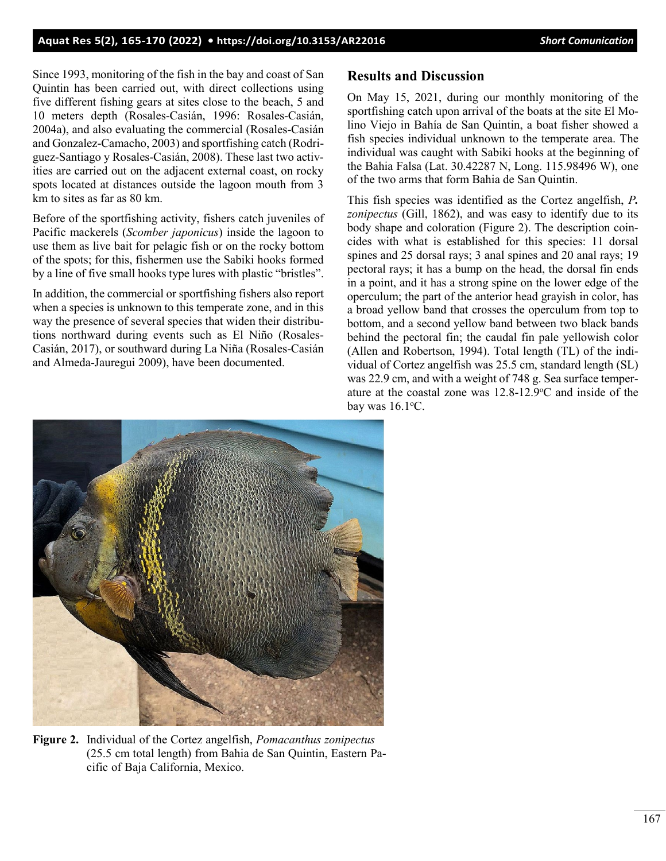#### **Aquat Res 5(2), 165-170 (2022) •<https://doi.org/10.3153/AR22016>***Short Comunication*

Since 1993, monitoring of the fish in the bay and coast of San Quintin has been carried out, with direct collections using five different fishing gears at sites close to the beach, 5 and 10 meters depth (Rosales-Casián, 1996: Rosales-Casián, 2004a), and also evaluating the commercial (Rosales-Casián and Gonzalez-Camacho, 2003) and sportfishing catch (Rodriguez-Santiago y Rosales-Casián, 2008). These last two activities are carried out on the adjacent external coast, on rocky spots located at distances outside the lagoon mouth from 3 km to sites as far as 80 km.

Before of the sportfishing activity, fishers catch juveniles of Pacific mackerels (*Scomber japonicus*) inside the lagoon to use them as live bait for pelagic fish or on the rocky bottom of the spots; for this, fishermen use the Sabiki hooks formed by a line of five small hooks type lures with plastic "bristles".

In addition, the commercial or sportfishing fishers also report when a species is unknown to this temperate zone, and in this way the presence of several species that widen their distributions northward during events such as El Niño (Rosales-Casián, 2017), or southward during La Niña (Rosales-Casián and Almeda-Jauregui 2009), have been documented.

## **Results and Discussion**

On May 15, 2021, during our monthly monitoring of the sportfishing catch upon arrival of the boats at the site El Molino Viejo in Bahía de San Quintin, a boat fisher showed a fish species individual unknown to the temperate area. The individual was caught with Sabiki hooks at the beginning of the Bahia Falsa (Lat. 30.42287 N, Long. 115.98496 W), one of the two arms that form Bahia de San Quintin.

This fish species was identified as the Cortez angelfish, *P. zonipectus* (Gill, 1862), and was easy to identify due to its body shape and coloration (Figure 2). The description coincides with what is established for this species: 11 dorsal spines and 25 dorsal rays; 3 anal spines and 20 anal rays; 19 pectoral rays; it has a bump on the head, the dorsal fin ends in a point, and it has a strong spine on the lower edge of the operculum; the part of the anterior head grayish in color, has a broad yellow band that crosses the operculum from top to bottom, and a second yellow band between two black bands behind the pectoral fin; the caudal fin pale yellowish color (Allen and Robertson, 1994). Total length (TL) of the individual of Cortez angelfish was 25.5 cm, standard length (SL) was 22.9 cm, and with a weight of 748 g. Sea surface temperature at the coastal zone was  $12.8-12.9$ °C and inside of the bay was  $16.1$ °C.



**Figure 2.** Individual of the Cortez angelfish, *Pomacanthus zonipectus* (25.5 cm total length) from Bahia de San Quintin, Eastern Pacific of Baja California, Mexico.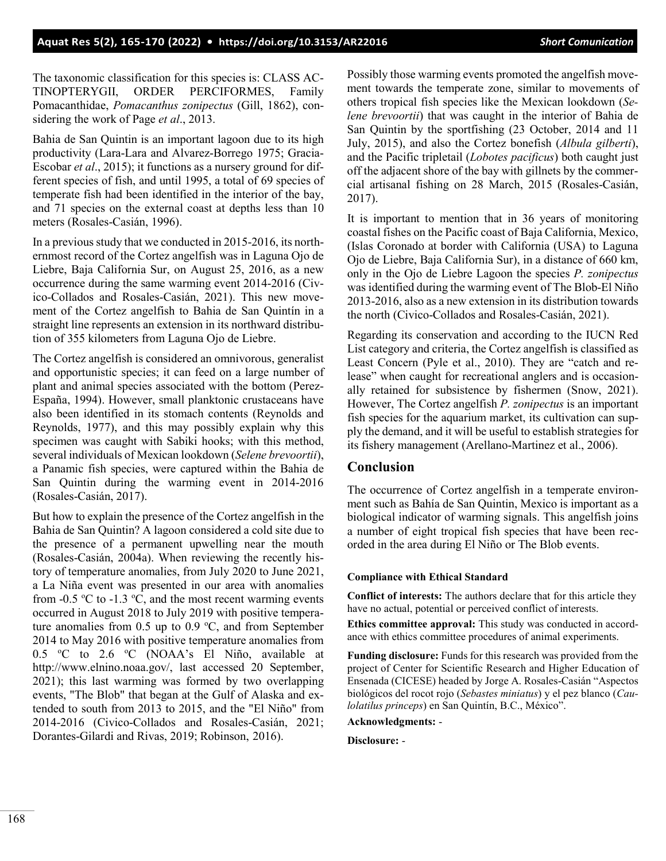The taxonomic classification for this species is: CLASS AC-TINOPTERYGII, ORDER PERCIFORMES, Family Pomacanthidae, *Pomacanthus zonipectus* (Gill, 1862), considering the work of Page *et al*., 2013.

Bahia de San Quintin is an important lagoon due to its high productivity (Lara-Lara and Alvarez-Borrego 1975; Gracia-Escobar *et al*., 2015); it functions as a nursery ground for different species of fish, and until 1995, a total of 69 species of temperate fish had been identified in the interior of the bay, and 71 species on the external coast at depths less than 10 meters (Rosales-Casián, 1996).

In a previous study that we conducted in 2015-2016, its northernmost record of the Cortez angelfish was in Laguna Ojo de Liebre, Baja California Sur, on August 25, 2016, as a new occurrence during the same warming event 2014-2016 (Civico-Collados and Rosales-Casián, 2021). This new movement of the Cortez angelfish to Bahia de San Quintín in a straight line represents an extension in its northward distribution of 355 kilometers from Laguna Ojo de Liebre.

The Cortez angelfish is considered an omnivorous, generalist and opportunistic species; it can feed on a large number of plant and animal species associated with the bottom (Perez-España, 1994). However, small planktonic crustaceans have also been identified in its stomach contents (Reynolds and Reynolds, 1977), and this may possibly explain why this specimen was caught with Sabiki hooks; with this method, several individuals of Mexican lookdown (*Selene brevoortii*), a Panamic fish species, were captured within the Bahia de San Quintin during the warming event in 2014-2016 (Rosales-Casián, 2017).

But how to explain the presence of the Cortez angelfish in the Bahia de San Quintin? A lagoon considered a cold site due to the presence of a permanent upwelling near the mouth (Rosales-Casián, 2004a). When reviewing the recently history of temperature anomalies, from July 2020 to June 2021, a La Niña event was presented in our area with anomalies from -0.5  $\degree$ C to -1.3  $\degree$ C, and the most recent warming events occurred in August 2018 to July 2019 with positive temperature anomalies from  $0.5$  up to  $0.9$  °C, and from September 2014 to May 2016 with positive temperature anomalies from 0.5 °C to 2.6 °C (NOAA's El Niño, available at http://www.elnino.noaa.gov/, last accessed 20 September, 2021); this last warming was formed by two overlapping events, "The Blob" that began at the Gulf of Alaska and extended to south from 2013 to 2015, and the "El Niño" from 2014-2016 (Civico-Collados and Rosales-Casián, 2021; Dorantes-Gilardi and Rivas, 2019; Robinson, 2016).

Possibly those warming events promoted the angelfish movement towards the temperate zone, similar to movements of others tropical fish species like the Mexican lookdown (*Selene brevoortii*) that was caught in the interior of Bahia de San Quintin by the sportfishing (23 October, 2014 and 11 July, 2015), and also the Cortez bonefish (*Albula gilberti*), and the Pacific tripletail (*Lobotes pacificus*) both caught just off the adjacent shore of the bay with gillnets by the commercial artisanal fishing on 28 March, 2015 (Rosales-Casián, 2017).

It is important to mention that in 36 years of monitoring coastal fishes on the Pacific coast of Baja California, Mexico, (Islas Coronado at border with California (USA) to Laguna Ojo de Liebre, Baja California Sur), in a distance of 660 km, only in the Ojo de Liebre Lagoon the species *P. zonipectus* was identified during the warming event of The Blob-El Niño 2013-2016, also as a new extension in its distribution towards the north (Civico-Collados and Rosales-Casián, 2021).

Regarding its conservation and according to the IUCN Red List category and criteria, the Cortez angelfish is classified as Least Concern (Pyle et al., 2010). They are "catch and release" when caught for recreational anglers and is occasionally retained for subsistence by fishermen (Snow, 2021). However, The Cortez angelfish *P. zonipectus* is an important fish species for the aquarium market, its cultivation can supply the demand, and it will be useful to establish strategies for its fishery management (Arellano-Martinez et al., 2006).

## **Conclusion**

The occurrence of Cortez angelfish in a temperate environment such as Bahía de San Quintin, Mexico is important as a biological indicator of warming signals. This angelfish joins a number of eight tropical fish species that have been recorded in the area during El Niño or The Blob events.

#### **Compliance with Ethical Standard**

**Conflict of interests:** The authors declare that for this article they have no actual, potential or perceived conflict of interests.

**Ethics committee approval:** This study was conducted in accordance with ethics committee procedures of animal experiments.

**Funding disclosure:** Funds for this research was provided from the project of Center for Scientific Research and Higher Education of Ensenada (CICESE) headed by Jorge A. Rosales-Casián "Aspectos biológicos del rocot rojo (*Sebastes miniatus*) y el pez blanco (*Caulolatilus princeps*) en San Quintín, B.C., México".

**Acknowledgments:** -

**Disclosure:** -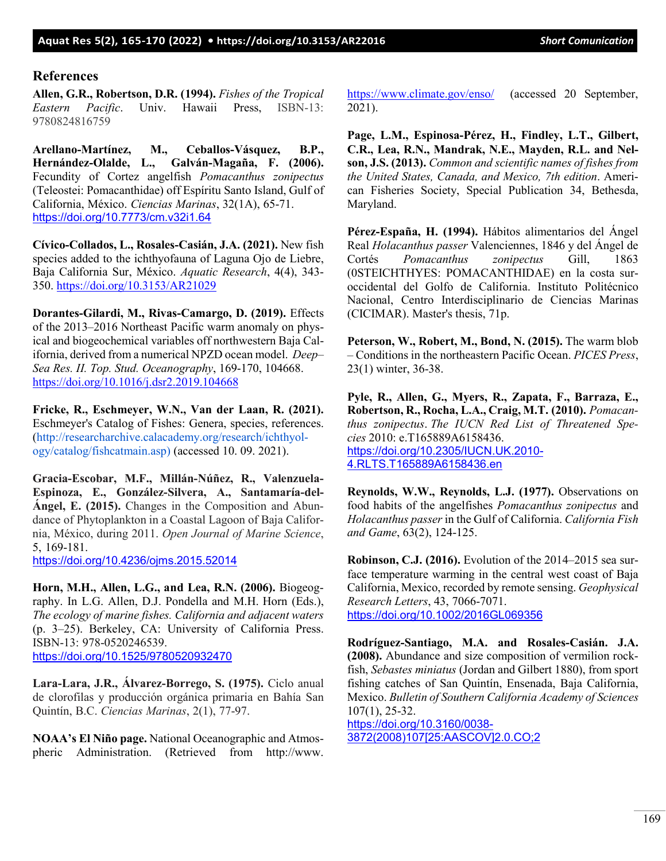#### **References**

**Allen, G.R., Robertson, D.R. (1994).** *Fishes of the Tropical Eastern Pacific*. Univ. Hawaii Press, ISBN-13: 9780824816759

**Arellano-Martínez, M., Ceballos-Vásquez, B.P., Hernández-Olalde, L., Galván-Magaña, F. (2006).** Fecundity of Cortez angelfish *Pomacanthus zonipectus* (Teleostei: Pomacanthidae) off Espíritu Santo Island, Gulf of California, México. *Ciencias Marinas*, 32(1A), 65-71. <https://doi.org/10.7773/cm.v32i1.64>

**Cívico-Collados, L., Rosales-Casián, J.A. (2021).** New fish species added to the ichthyofauna of Laguna Ojo de Liebre, Baja California Sur, México. *Aquatic Research*, 4(4), 343- 350.<https://doi.org/10.3153/AR21029>

**Dorantes-Gilardi, M., Rivas-Camargo, D. (2019).** Effects of the 2013–2016 Northeast Pacific warm anomaly on physical and biogeochemical variables off northwestern Baja California, derived from a numerical NPZD ocean model. *Deep– Sea Res. II. Top. Stud. Oceanography*, 169-170, 104668. <https://doi.org/10.1016/j.dsr2.2019.104668>

**Fricke, R., Eschmeyer, W.N., Van der Laan, R. (2021).** Eschmeyer's Catalog of Fishes: Genera, species, references. (http://researcharchive.calacademy.org/research/ichthyology/catalog/fishcatmain.asp) (accessed 10. 09. 2021).

**Gracia-Escobar, M.F., Millán-Núñez, R., Valenzuela-Espinoza, E., González-Silvera, A., Santamaría-del-Ángel, E. (2015).** Changes in the Composition and Abundance of Phytoplankton in a Coastal Lagoon of Baja California, México, during 2011. *Open Journal of Marine Science*, 5, 169-181.

<https://doi.org/10.4236/ojms.2015.52014>

**Horn, M.H., Allen, L.G., and Lea, R.N. (2006).** Biogeography. In L.G. Allen, D.J. Pondella and M.H. Horn (Eds.), *The ecology of marine fishes. California and adjacent waters* (p. 3–25). Berkeley, CA: University of California Press. ISBN-13: 978-0520246539. <https://doi.org/10.1525/9780520932470>

**Lara-Lara, J.R., Álvarez-Borrego, S. (1975).** Ciclo anual de clorofilas y producción orgánica primaria en Bahía San Quintín, B.C. *Ciencias Marinas*, 2(1), 77-97.

**NOAA's El Niño page.** National Oceanographic and Atmospheric Administration. (Retrieved from http://www. <https://www.climate.gov/enso/>(accessed 20 September, 2021).

**Page, L.M., Espinosa-Pérez, H., Findley, L.T., Gilbert, C.R., Lea, R.N., Mandrak, N.E., Mayden, R.L. and Nelson, J.S. (2013).** *Common and scientific names of fishes from the United States, Canada, and Mexico, 7th edition*. American Fisheries Society, Special Publication 34, Bethesda, Maryland.

**Pérez-España, H. (1994).** Hábitos alimentarios del Ángel Real *Holacanthus passer* Valenciennes, 1846 y del Ángel de Cortés *Pomacanthus zonipectus* Gill, 1863 (0STEICHTHYES: POMACANTHIDAE) en la costa suroccidental del Golfo de California. Instituto Politécnico Nacional, Centro Interdisciplinario de Ciencias Marinas (CICIMAR). Master's thesis, 71p.

**Peterson, W., Robert, M., Bond, N. (2015).** The warm blob – Conditions in the northeastern Pacific Ocean. *PICES Press*, 23(1) winter, 36-38.

**Pyle, R., Allen, G., Myers, R., Zapata, F., Barraza, E., Robertson, R., Rocha, L.A., Craig, M.T. (2010).** *Pomacanthus zonipectus*. *The IUCN Red List of Threatened Species* 2010: e.T165889A6158436. [https://doi.org/10.2305/IUCN.UK.2010-](https://doi.org/10.2305/IUCN.UK.2010-4.RLTS.T165889A6158436.en) [4.RLTS.T165889A6158436.en](https://doi.org/10.2305/IUCN.UK.2010-4.RLTS.T165889A6158436.en)

**Reynolds, W.W., Reynolds, L.J. (1977).** Observations on food habits of the angelfishes *Pomacanthus zonipectus* and *Holacanthus passer* in the Gulf of California. *California Fish and Game*, 63(2), 124-125.

**Robinson, C.J. (2016).** Evolution of the 2014–2015 sea surface temperature warming in the central west coast of Baja California, Mexico, recorded by remote sensing. *Geophysical Research Letters*, 43, 7066-7071. <https://doi.org/10.1002/2016GL069356>

**Rodríguez-Santiago, M.A. and Rosales-Casián. J.A. (2008).** Abundance and size composition of vermilion rockfish, *Sebastes miniatus* (Jordan and Gilbert 1880), from sport fishing catches of San Quintín, Ensenada, Baja California, Mexico. *Bulletin of Southern California Academy of Sciences* 107(1), 25-32.

[https://doi.org/10.3160/0038-](https://doi.org/10.3160/0038-3872(2008)107%5b25:AASCOV%5d2.0.CO;2) [3872\(2008\)107\[25:AASCOV\]2.0.CO;2](https://doi.org/10.3160/0038-3872(2008)107%5b25:AASCOV%5d2.0.CO;2)